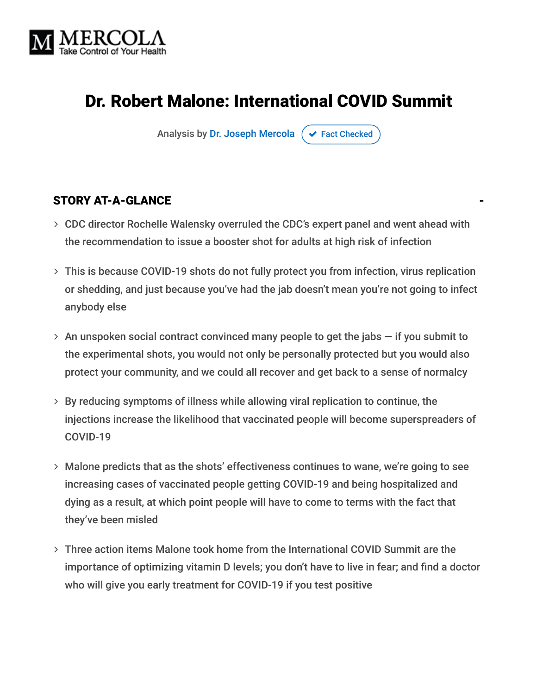

# Dr. Robert Malone: International COVID Summit

Analysis by [Dr. Joseph Mercola](https://www.mercola.com/forms/background.htm)  $\sigma$  [Fact Checked](javascript:void(0))

#### STORY AT-A-GLANCE

- CDC director Rochelle Walensky overruled the CDC's expert panel and went ahead with the recommendation to issue a booster shot for adults at high risk of infection
- This is because COVID-19 shots do not fully protect you from infection, virus replication or shedding, and just because you've had the jab doesn't mean you're not going to infect anybody else
- $>$  An unspoken social contract convinced many people to get the jabs  $-$  if you submit to the experimental shots, you would not only be personally protected but you would also protect your community, and we could all recover and get back to a sense of normalcy
- By reducing symptoms of illness while allowing viral replication to continue, the injections increase the likelihood that vaccinated people will become superspreaders of COVID-19
- Malone predicts that as the shots' effectiveness continues to wane, we're going to see increasing cases of vaccinated people getting COVID-19 and being hospitalized and dying as a result, at which point people will have to come to terms with the fact that they've been misled
- Three action items Malone took home from the International COVID Summit are the importance of optimizing vitamin D levels; you don't have to live in fear; and find a doctor who will give you early treatment for COVID-19 if you test positive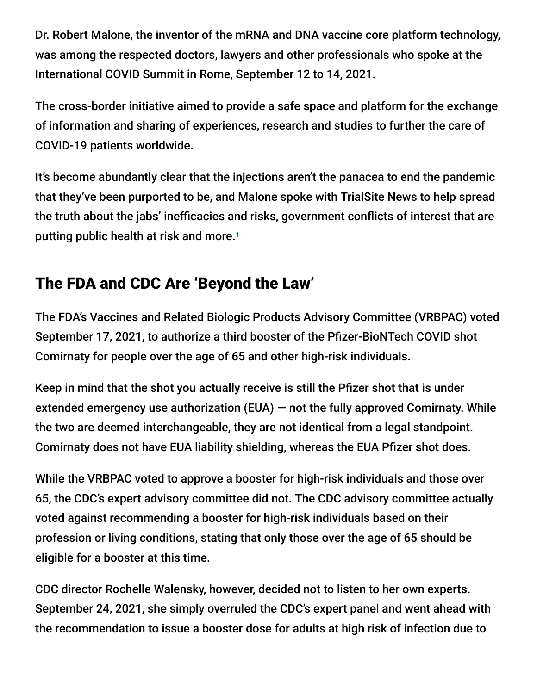Dr. Robert Malone, the inventor of the mRNA and DNA vaccine core platform technology, was among the respected doctors, lawyers and other professionals who spoke at the International COVID Summit in Rome, September 12 to 14, 2021.

The cross-border initiative aimed to provide a safe space and platform for the exchange of information and sharing of experiences, research and studies to further the care of COVID-19 patients worldwide.

It's become abundantly clear that the injections aren't the panacea to end the pandemic that they've been purported to be, and Malone spoke with TrialSite News to help spread the truth about the jabs' inefficacies and risks, government conflicts of interest that are putting public health at risk and more. 1

# The FDA and CDC Are 'Beyond the Law'

The FDA's Vaccines and Related Biologic Products Advisory Committee (VRBPAC) voted September 17, 2021, to authorize a third booster of the Pfizer-BioNTech COVID shot Comirnaty for people over the age of 65 and other high-risk individuals.

Keep in mind that the shot you actually receive is still the Pfizer shot that is under extended emergency use authorization (EUA) — not the fully approved Comirnaty. While the two are deemed interchangeable, they are not identical from a legal standpoint. Comirnaty does not have EUA liability shielding, whereas the EUA Pfizer shot does.

While the VRBPAC voted to approve a booster for high-risk individuals and those over 65, the CDC's expert advisory committee did not. The CDC advisory committee actually voted against recommending a booster for high-risk individuals based on their profession or living conditions, stating that only those over the age of 65 should be eligible for a booster at this time.

CDC director Rochelle Walensky, however, decided not to listen to her own experts. September 24, 2021, she simply overruled the CDC's expert panel and went ahead with the recommendation to issue a booster dose for adults at high risk of infection due to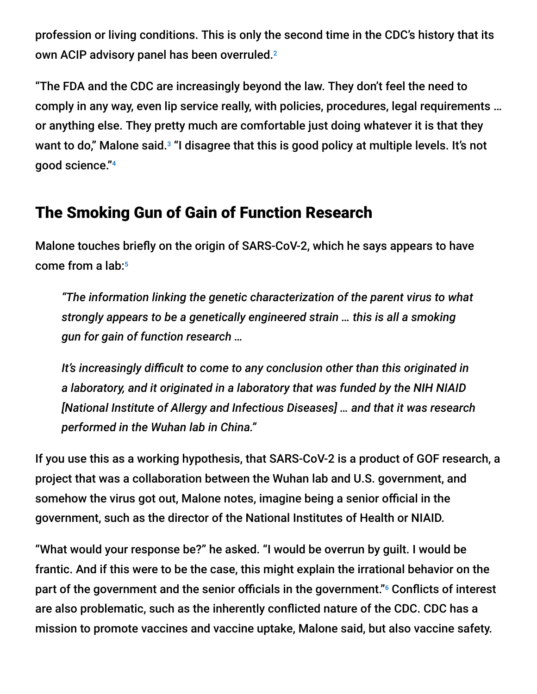profession or living conditions. This is only the second time in the CDC's history that its own ACIP advisory panel has been overruled. 2

"The FDA and the CDC are increasingly beyond the law. They don't feel the need to comply in any way, even lip service really, with policies, procedures, legal requirements … or anything else. They pretty much are comfortable just doing whatever it is that they want to do," Malone said.<sup>3</sup> "I disagree that this is good policy at multiple levels. It's not good science." 4

## The Smoking Gun of Gain of Function Research

Malone touches briefly on the origin of SARS-CoV-2, which he says appears to have come from a lab: 5

*"The information linking the genetic characterization of the parent virus to what strongly appears to be a genetically engineered strain … this is all a smoking gun for gain of function research …*

*It's increasingly difficult to come to any conclusion other than this originated in a laboratory, and it originated in a laboratory that was funded by the NIH NIAID [National Institute of Allergy and Infectious Diseases] … and that it was research performed in the Wuhan lab in China."*

If you use this as a working hypothesis, that SARS-CoV-2 is a product of GOF research, a project that was a collaboration between the Wuhan lab and U.S. government, and somehow the virus got out, Malone notes, imagine being a senior official in the government, such as the director of the National Institutes of Health or NIAID.

"What would your response be?" he asked. "I would be overrun by guilt. I would be frantic. And if this were to be the case, this might explain the irrational behavior on the part of the government and the senior officials in the government."<sup>6</sup> Conflicts of interest are also problematic, such as the inherently conflicted nature of the CDC. CDC has a mission to promote vaccines and vaccine uptake, Malone said, but also vaccine safety.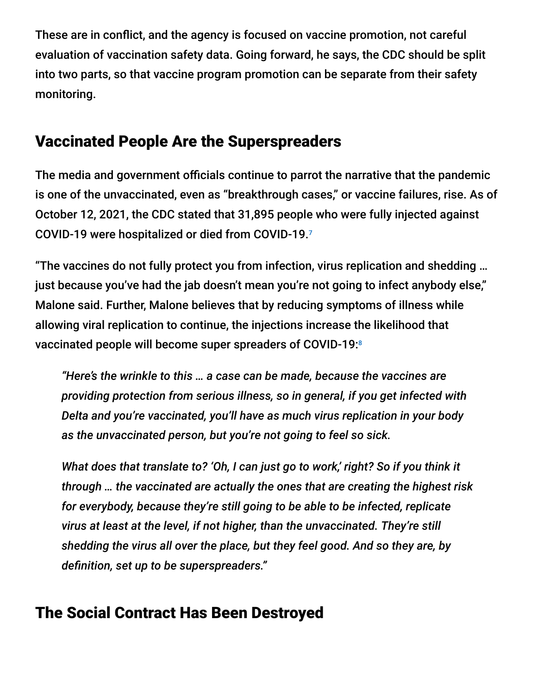These are in conflict, and the agency is focused on vaccine promotion, not careful evaluation of vaccination safety data. Going forward, he says, the CDC should be split into two parts, so that vaccine program promotion can be separate from their safety monitoring.

## Vaccinated People Are the Superspreaders

The media and government officials continue to parrot the narrative that the pandemic is one of the unvaccinated, even as "breakthrough cases," or vaccine failures, rise. As of October 12, 2021, the CDC stated that 31,895 people who were fully injected against COVID-19 were hospitalized or died from COVID-19. 7

"The vaccines do not fully protect you from infection, virus replication and shedding … just because you've had the jab doesn't mean you're not going to infect anybody else," Malone said. Further, Malone believes that by reducing symptoms of illness while allowing viral replication to continue, the injections increase the likelihood that vaccinated people will become super spreaders of COVID-19: 8

*"Here's the wrinkle to this … a case can be made, because the vaccines are providing protection from serious illness, so in general, if you get infected with Delta and you're vaccinated, you'll have as much virus replication in your body as the unvaccinated person, but you're not going to feel so sick.*

*What does that translate to? 'Oh, I can just go to work,' right? So if you think it through … the vaccinated are actually the ones that are creating the highest risk for everybody, because they're still going to be able to be infected, replicate virus at least at the level, if not higher, than the unvaccinated. They're still shedding the virus all over the place, but they feel good. And so they are, by definition, set up to be superspreaders."*

### The Social Contract Has Been Destroyed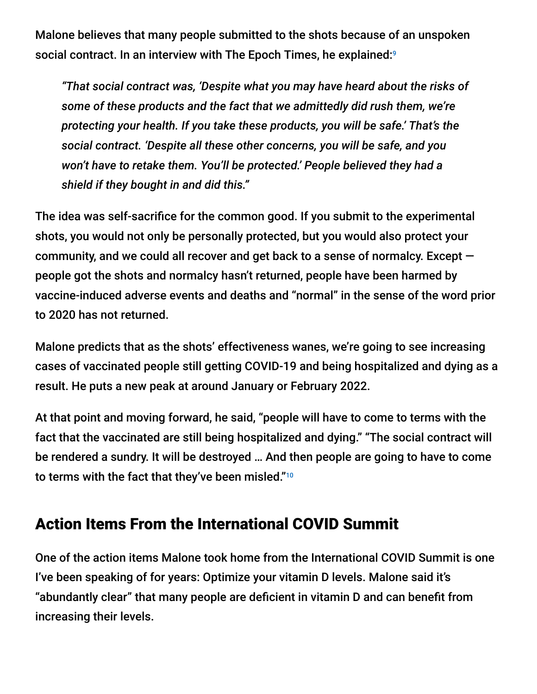Malone believes that many people submitted to the shots because of an unspoken social contract. In an interview with The Epoch Times, he explained:<sup>9</sup>

*"That social contract was, 'Despite what you may have heard about the risks of some of these products and the fact that we admittedly did rush them, we're protecting your health. If you take these products, you will be safe.' That's the social contract. 'Despite all these other concerns, you will be safe, and you won't have to retake them. You'll be protected.' People believed they had a shield if they bought in and did this."*

The idea was self-sacrifice for the common good. If you submit to the experimental shots, you would not only be personally protected, but you would also protect your community, and we could all recover and get back to a sense of normalcy. Except people got the shots and normalcy hasn't returned, people have been harmed by vaccine-induced adverse events and deaths and "normal" in the sense of the word prior to 2020 has not returned.

Malone predicts that as the shots' effectiveness wanes, we're going to see increasing cases of vaccinated people still getting COVID-19 and being hospitalized and dying as a result. He puts a new peak at around January or February 2022.

At that point and moving forward, he said, "people will have to come to terms with the fact that the vaccinated are still being hospitalized and dying." "The social contract will be rendered a sundry. It will be destroyed … And then people are going to have to come to terms with the fact that they've been misled." $^{\scriptscriptstyle 10}$ 

### Action Items From the International COVID Summit

One of the action items Malone took home from the International COVID Summit is one I've been speaking of for years: Optimize your vitamin D levels. Malone said it's "abundantly clear" that many people are deficient in vitamin D and can benefit from increasing their levels.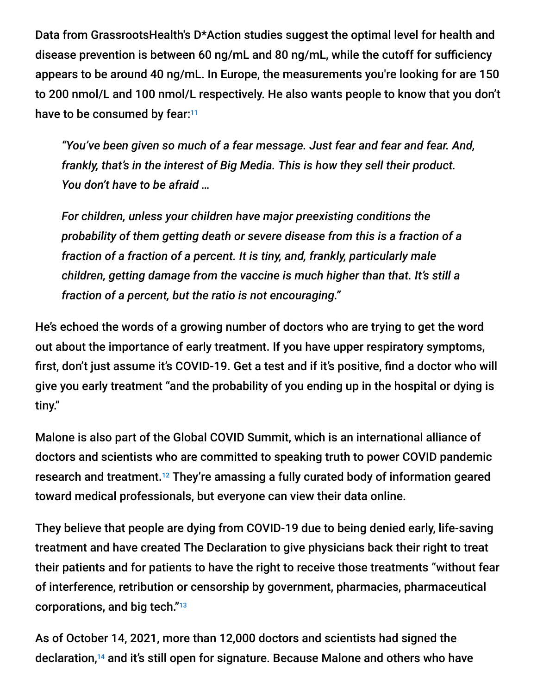Data from GrassrootsHealth's D\*Action studies suggest the optimal level for health and disease prevention is between 60 ng/mL and 80 ng/mL, while the cutoff for sufficiency appears to be around 40 ng/mL. In Europe, the measurements you're looking for are 150 to 200 nmol/L and 100 nmol/L respectively. He also wants people to know that you don't have to be consumed by fear:<sup>11</sup>

*"You've been given so much of a fear message. Just fear and fear and fear. And, frankly, that's in the interest of Big Media. This is how they sell their product. You don't have to be afraid …*

*For children, unless your children have major preexisting conditions the probability of them getting death or severe disease from this is a fraction of a fraction of a fraction of a percent. It is tiny, and, frankly, particularly male children, getting damage from the vaccine is much higher than that. It's still a fraction of a percent, but the ratio is not encouraging."*

He's echoed the words of a growing number of doctors who are trying to get the word out about the importance of early treatment. If you have upper respiratory symptoms, first, don't just assume it's COVID-19. Get a test and if it's positive, find a doctor who will give you early treatment "and the probability of you ending up in the hospital or dying is tiny."

Malone is also part of the Global COVID Summit, which is an international alliance of doctors and scientists who are committed to speaking truth to power COVID pandemic research and treatment.<sup>12</sup> They're amassing a fully curated body of information geared toward medical professionals, but everyone can view their data online.

They believe that people are dying from COVID-19 due to being denied early, life-saving treatment and have created The Declaration to give physicians back their right to treat their patients and for patients to have the right to receive those treatments "without fear of interference, retribution or censorship by government, pharmacies, pharmaceutical corporations, and big tech." 13

As of October 14, 2021, more than 12,000 doctors and scientists had signed the declaration,<sup>14</sup> and it's still open for signature. Because Malone and others who have